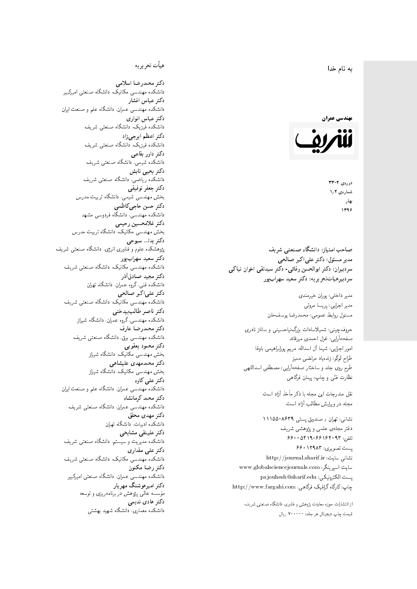## $\overline{\phantom{a}}$ ز<br>ن به نام خدا .<br>.



 $37 - 7$ شمارەي ١٫٢ بهار 1396

صاحب امتیاز: دانشگاه صنعتی شریف  $\mathfrak{c}$ مدیر مسئول: دکتر علیاکبر صالحی  $\mathfrak{c}$ سردبیران: دکتر ابوالحسن وفائی- دکتر سیدنقی اخوان نیاکی سردبیرهیاتتحر یر یه : دکتر سعید سهرابپور

> مدير داخلى: پوران خيرمندى<br>. مدير اجرايي: پريسا مروتي<br>. مسئول روابط عمومی: محمدرضا يوسفخان<br>.

امور اجرایی: شیما آل اسداله، مریم پورابراهیمی باوفا طراح لوگو: زندهیاد مرتضمی ممیز<br>ا طرح روى جلد و ساختار صفحه[رایی: مصطفى اسداللهی<br>بنالمستقد نظارت فنَّى و چاپ: پيمان فرگاهى<br>. حروفچینبی: شمیلاسادات بزرگنیاحسینبی و ساناز نادری صفحهآرايي: غزل احمدى ميرقائد

نقل مندرجات این مجله با ذکر مأخذ آزاد است.<br>مجله در ویرایش مطالب آزاد است.

نشانی: تهران / صندوق پستی ۸۶۳۹-۱۱۱۵۵ دفتر مجلهى علمى و پژوهشى شريف 5600019464696000000 یست تصویری: ۶۶۰٬۱۲۹۸۳ نشانی سایت: http://journal.sharif.ir<br>م سايت اسپرينگر: www.globalsciencejournals.com<br>دادم ساخت pajouhesh@sharif.edu :يست الكترونيكي:  ${\rm http://www.fargahi.com}$  ، حاب: کارگاه گرافیک فرگاهے

از انتشارات حوزه معاونت پژوهش و فناوری دانشگاه صنعتی شریف قيمت جاپ ديجيتال هر جلد: ۲۰۰۰۰۰ ريال

## هيأت تحريريه

دكتر محمدرضا اسلامى مکانیک، دانشگاه صنعتی امیرکبیر<br>. دكتر عباس افشار دانشکده مهندسی عمران، دانشگاه علم و صنعت ایران<br>بحمد مصلحات دكتر عباس انوارى دانشکده فیزیک، دانشگاه صنعتبی شریف<br>محمد استانسا دکتر اعظم ايرجى زاد ، دانشگاه صنعتبی شریف<br>. دکتر داور بقاع**ی** دانشکده شیمی، دانشگاه صنعتی شریف<br>دکتر یحیی تابش دانشکده ریاضی، دانشگاه صنعتی شریف<br>برمسمنستانستان دكتر جعفر توفيقي بخش مهندسی شیمی، دانشگاه تربیت مدرس<br>سم دكتر حسن حاجىكاظمي دانشکده مهندسی، دانشگاه فردوسی مشهد<br>کستفلار م دكتر غلامحسين رحيمي هندسی مکانیک، دانشگاه تربیت مدرس<br>ا دکتر یدا… سبوحی یژوهشکده علوم و فناوری انرژی، دانشگاه صنعتی شریف دکتر سعید سهرابپور<br>دانشکده مهندسی مکانیک، دانشگاه صنعتی شریف دکتر مجيد صادقاذر ا<br>. دانشکده فنی، گروه عمران، دانشگاه تهران دکتر علیاکبر صالحی = دانشکده مهندسی مکانیک، دانشگاه صنعتی شریف<br>یکستا دکتر ناصر طالب بیدختی r  $\mathfrak{c}$ دانشکده مهندسی، گروه عمران، دانشگاه شیراز<br>مکتب مصدر مقبل علم دكتر محمدرضا عارف دانشکده مهندسی برق، دانشگاه صنعتی شریف<br><mark>دکتر محمود یعقوبی</mark> هندسی مکانیک، دانشگاه شیراز<br>مسدوده مصلوفیاه دکتر محمدمهدی علیشاهی بخش مهندسی مکانیک، دانشگاه شیراز<br>مکتبهای کابی دکتر علی کاوہ دانشکده مهندسی عمران، دانشگاه علم و صنعت ایران<br>بحت دکتر محمد کرمانشاه .<br>. دانشکده مهندسی عمران، دانشگاه صنعتی شریف<br>مکتبر دولت مستق دکتر مهد*ی* محقق دانشکده ادبیات، دانشگاه تهران دکتر علینقی مشایخ<u>ی</u> دانشکده مدیریت و سیستم، دانشگاه صنعتبی شریف<br>محمد باست دکتر علی مقداری مکانیک، دانشگاه صنعتی شریف<br>. دكتر رضا مكنون دانشکده مهندسی عمران. دانشگاه صنعتی امیرکبیر<br>محمد است میگ دکتر امیرهوشنگ مهریار سسه عالمی پژوهش در برنامهریزی و توسعه<br>''' ۱۰۰۰ میلید ءُ<br>ك م<br>. دکتر هادی ندیمی  $\overline{a}$ م هذا المسلم التي تتم تتم المسلم التي تتم المسلم التي تتم المسلم التي تتم المسلم التي تتم المسلم التي تتم المس<br>والتي تتم المسلم التي تتم المسلم التي تتم المسلم التي تتم المسلم التي تتم المسلم التي تتم المسلم التي تتم المس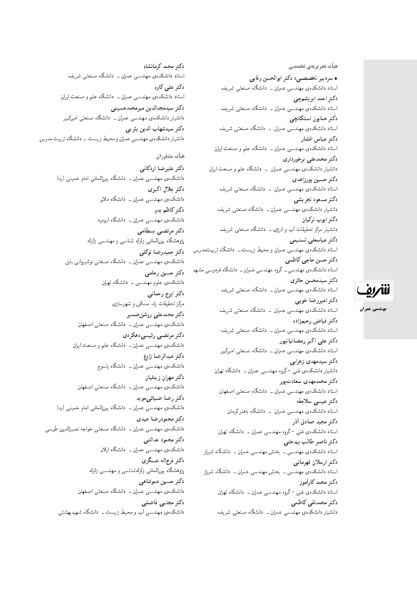هیأت تحریریهی تخ*صص*ی

• سردبیر تخصصی: دکتر ابوالحسن وفایی استاد دانشکدهی مهندسی عمران ــ دانشگاه صنعتبی شریف دكتر احمد ابريشمچي استاد دانشکدهی مهندسی عمران ــ دانشگاه صنعتی شریف دكتر همايون استكانچى استاد دانشکدهی مهندسی عمران – دانشگاه صنعتی شریف دكتر عباس افشار استاد دانشکدهی مهندسی عمران ــ دانشگاه علم و صنعت ایران دکتر محمدعلی برخورداری دانشیار دانشکدهی مهندسی عمران \_ دانشگاه علم و صنعت ایران دكتر حسين پورزاهدى استاد دانشکدهی مهندسی عمران – دانشگاه صنعتی شریف دكتر مسعود تجريشي دانشیار دانشکدهی مهندسی عمران ــ دانشگاه صنعتبی شریف دكتر ايوب تركيان دانشیار مرکز تحقیقات آب و انرژی ـــ دانشگاه صنعتی شریف دكتر عباسعلى تسنيمى استاد دانشکدهی مهندسی عمران و محیط زیست ـ دانشگاه تربیتمدرس دكتر حسن حاجي كاظمى استاد دانشکدهی مهندسی ــ گروه مهندسی عمران ــ دانشگاه فردوسی مشهد دكتر سيدمحسن حائري استاد دانشکدهی مهندسی عمران ــ دانشگاه صنعتی شریف دكتر اميررضا خوبي استاد دانشکدهی مهندسی عمران \_ دانشگاه صنعتی شریف دكتر فياض رحيمزاده استاد دانشکدهی مهندسی عمران ــ دانشگاه صنعتی شریف دکتر علی اکبر رمضانیانیور استاد دانشکدهی مهندسی عمران ــ دانشگاه صنعتی امیرکبیر دکتر سیدمهدی زهرای<u>ی</u> دانشیار دانشکدهی فنبی <sup>– </sup>گروه مهندسی عمران ــ دانشگاه تهران دکتر محمدمهدی سعادت یور استاد دانشکدهی مهندسی عمران ــ دانشگاه صنعتی اصفهان دكتر عيسى سلاجقه استاد دانشکدهی مهندسی عمران <mark>– دانشگاه باهنر کرمان</mark> دكتر مجيد صادق أذر استاد دانشکدهى فنى -گروه مهندسى عمران ــ دانشگاه تهران دكتر ناصر طالب بيدختى استاد دانشکدهی مهندسی ــ بخش مهندسی عمران ــ دانشگاه شیراز دكتر ارسلان قهرماني استاد دانشکدهی مهندسی ــ بخش مهندسی عمران ــ دانشگاه شیراز دكتر محمد كارأموز استاد دانشکدهی فنبی -گروه مهندسی عمران ــ دانشگاه تهران دكتر محمدتقى كاظمى

دانشیار دانشکدهی مهندسی عمران ــ دانشگاه صنعتی شریف

دكتر محمد كرمانشاه استاد دانشکدهی مهندسی عمران ــ دانشگاه صنعتی شریف دکتر علمی کاوہ استاد دانشکدهی مهندسی عمران ــ دانشگاه علم و صنعت ایران دكتر سيدمجدالدين ميرمحمدحسيني دانشیار دانشکدهی مهندسی عمران ــ دانشگاه صنعتی امیرکبیر دكتر سيدشهاب الدين يثر بي دانشیار دانشکدهی مهندسی عمران و محیط زیست - دانشگاه تربیت مدرس هيأت مشاوران

دكتر علي<sub>د</sub>ضا أردكاني دانشکدهی مهندسی عمران ــ دانشگاه بین|لمللی امام خمینی (ره) دکتر حلال اکبری دانشکدهی مهندسی عمران ــ دانشگاه ملایر دکتر کاظم بدو دانشکده یمهندسی عمران ــ دانشگاه ارومیه دكتر مرتضى بسطامى يژوهشگاه بين|لمللي زلزله شناسي و مهندسي زلزله دكتر حميدرضا توكلي دانشکدهی مهندسی عمران ــ دانشگاه صنعتی نوشیروانی بابل دكتر حسين رحامي دانشکدهی علوم مهندسی ــ دانشگاه تهران دكتر ايرج رحماني مرکز تحقیقات راه. مسکن و شهرسازی دكتر محمدعلى روشن ضمير دانشکدهی مهندسی عمران ــ دانشگاه صنعتی اصفهان دكتر مرتضىي رئيسي دهكردي دانشکدهی مهندسی عمران ــ دانشگاه علم و صنعت ایران دكتر عبدالرضا زارع دانشکده، مهندسی عمران ــ دانشگاه ياسوج دكتر مهران زينليان دانشکدهی مهندسی عمران ــ دانشگاه صنعتی اصفهان دکتر رضا ضیائے موید دانشکدهی مهندسی عمران ــ دانشگاه بین|لمللی امام خمینی (ره) دكتر محمودرضا عبدى دانشکدهی مهندسی عمران ــ دانشگاه صنعتی خواجه نصیرالدین طوسی دكتر محمود عدالتي دانشکدهی مهندسی عمران ــ دانشگاه ایلام دكتر فرج|له عسگرى پژوهشگاه بین|لمللمی زلزلهشناسی و مهندسی زلزله دكتر حسين عموشاهي دانشکدهی مهندسی عمران ــ دانشگاه صنعتی اصفهان دكتر مجتبى فاضلى دانشکدهی مهندسی آب و محیط زیست ــ دانشگاه شهیدبهشتی



مهندسي عمران